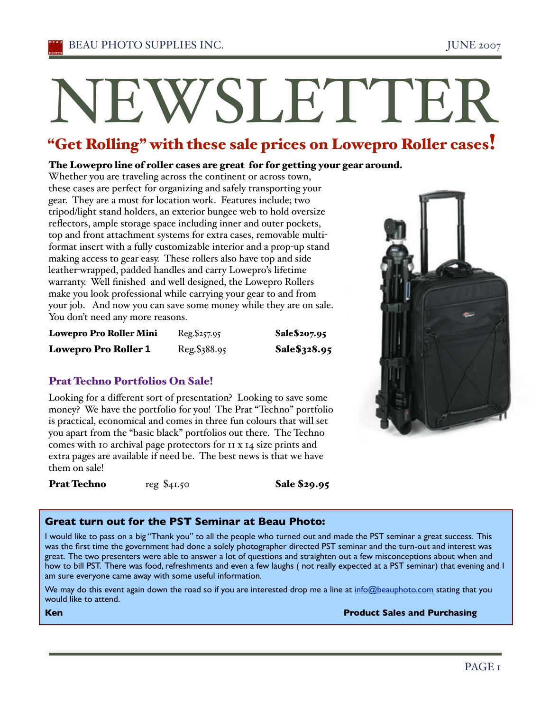# NEWSLETTER

# "Get Rolling" with these sale prices on Lowepro Roller cases!

#### The Lowepro line of roller cases are great for for getting your gear around.

Whether you are traveling across the continent or across town, these cases are perfect for organizing and safely transporting your gear. They are a must for location work. Features include; two tripod/light stand holders, an exterior bungee web to hold oversize reflectors, ample storage space including inner and outer pockets, top and front attachment systems for extra cases, removable multiformat insert with a fully customizable interior and a prop-up stand making access to gear easy. These rollers also have top and side leather-wrapped, padded handles and carry Lowepro's lifetime warranty. Well finished and well designed, the Lowepro Rollers make you look professional while carrying your gear to and from your job. And now you can save some money while they are on sale. You don't need any more reasons.

| <b>Lowepro Pro Roller Mini</b> | Reg.\$257.95 | Sale\$207.95 |
|--------------------------------|--------------|--------------|
| <b>Lowepro Pro Roller 1</b>    | Reg.\$388.95 | Sale\$328.95 |

#### Prat Techno Portfolios On Sale!

Looking for a different sort of presentation? Looking to save some money? We have the portfolio for you! The Prat "Techno" portfolio is practical, economical and comes in three fun colours that will set you apart from the "basic black" portfolios out there. The Techno comes with 10 archival page protectors for 11 x 14 size prints and extra pages are available if need be. The best news is that we have them on sale!

**Prat Techno** reg \$41.50 Sale \$29.95

#### **Great turn out for the PST Seminar at Beau Photo:**

I would like to pass on a big "Thank you" to all the people who turned out and made the PST seminar a great success. This was the first time the government had done a solely photographer directed PST seminar and the turn-out and interest was great. The two presenters were able to answer a lot of questions and straighten out a few misconceptions about when and how to bill PST. There was food, refreshments and even a few laughs ( not really expected at a PST seminar) that evening and I am sure everyone came away with some useful information.

We may do this event again down the road so if you are interested drop me a line at info@beauphoto.com stating that you would like to attend.

**Ken Product Sales and Purchasing** 

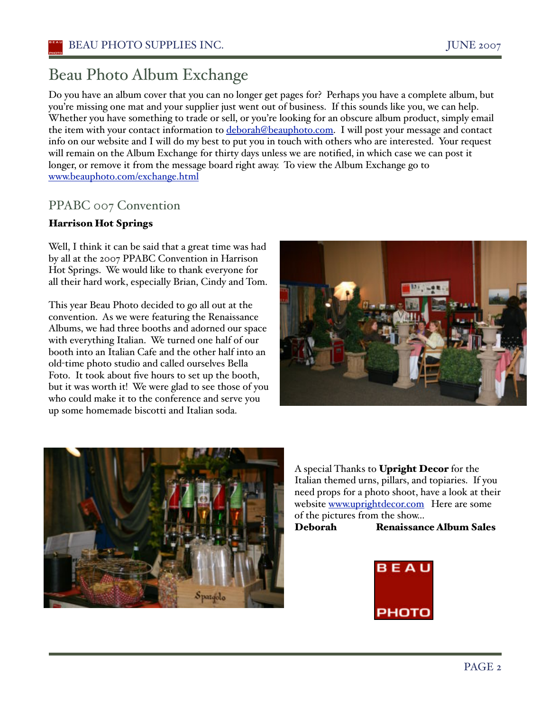# Beau Photo Album Exchange

Do you have an album cover that you can no longer get pages for? Perhaps you have a complete album, but you're missing one mat and your supplier just went out of business. If this sounds like you, we can help. Whether you have something to trade or sell, or you're looking for an obscure album product, simply email the item with your contact information to deborah@beauphoto.com. I will post your message and contact info on our website and I will do my best to put you in touch with others who are interested. Your request will remain on the Album Exchange for thirty days unless we are notified, in which case we can post it longer, or remove it from the message board right away. To view the Album Exchange go to www.beauphoto.com/exchange.html

## PPABC 007 Convention

#### Harrison Hot Springs

Well, I think it can be said that a great time was had by all at the 2007 PPABC Convention in Harrison Hot Springs. We would like to thank everyone for all their hard work, especially Brian, Cindy and Tom.

This year Beau Photo decided to go all out at the convention. As we were featuring the Renaissance Albums, we had three booths and adorned our space with everything Italian. We turned one half of our booth into an Italian Cafe and the other half into an old-time photo studio and called ourselves Bella Foto. It took about five hours to set up the booth, but it was worth it! We were glad to see those of you who could make it to the conference and serve you up some homemade biscotti and Italian soda.





A special Thanks to Upright Decor for the Italian themed urns, pillars, and topiaries. If you need props for a photo shoot, have a look at their website www.uprightdecor.com Here are some of the pictures from the show...

Deborah Renaissance Album Sales

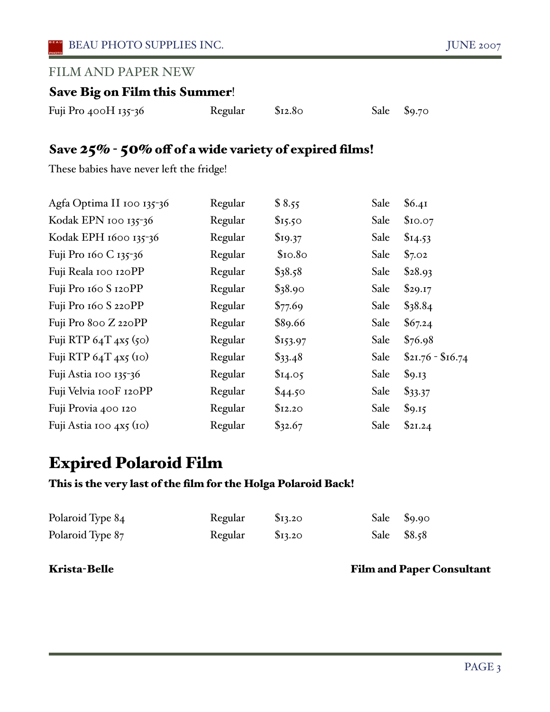### FILM AND PAPER NEW

## Save Big on Film this Summer!

| Fuji Pro 400H 135-36 | Regular | \$12.80 |  | Sale \$9.70 |
|----------------------|---------|---------|--|-------------|
|----------------------|---------|---------|--|-------------|

## Save 25% - 50% off of a wide variety of expired films!

These babies have never left the fridge!

| Regular | \$8.55    | Sale | \$6.41            |
|---------|-----------|------|-------------------|
| Regular | \$15.50   | Sale | \$10.07           |
| Regular | \$19.37   | Sale | \$I4.53           |
| Regular | \$10.80   | Sale | \$7.02            |
| Regular | \$38.58   | Sale | \$28.93           |
| Regular | \$38.90   | Sale | \$29.17           |
| Regular | \$77.69   | Sale | \$38.84           |
| Regular | \$89.66   | Sale | \$67.24           |
| Regular | \$153.97  | Sale | \$76.98           |
| Regular | $\$33.48$ | Sale | $$21.76 - $16.74$ |
| Regular | \$I4.05   | Sale | \$9.13            |
| Regular | \$44.50   | Sale | $\$33.37$         |
| Regular | \$12.20   | Sale | \$9.15            |
| Regular | \$32.67   | Sale | \$21.24           |
|         |           |      |                   |

# Expired Polaroid Film

#### This is the very last of the film for the Holga Polaroid Back!

| Polaroid Type 84 | Regular | \$13.20 | Sale $\$9.90$ |  |
|------------------|---------|---------|---------------|--|
| Polaroid Type 87 | Regular | \$13.20 | Sale \$8.58   |  |

#### Krista-Belle Film and Paper Consultant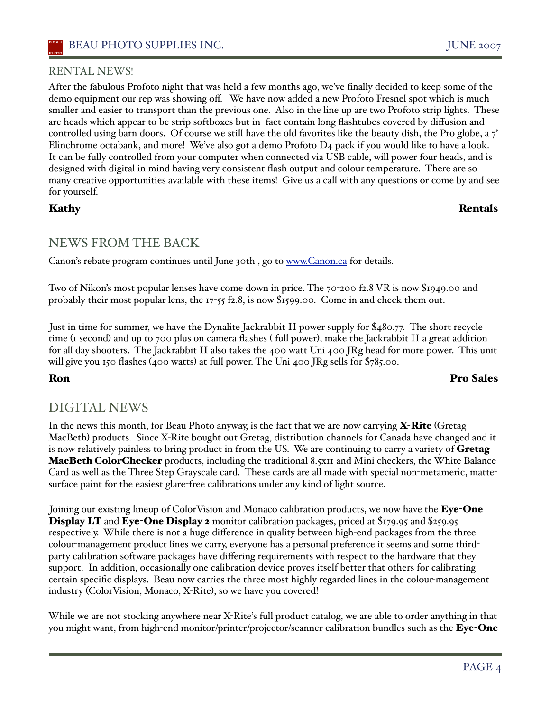#### RENTAL NEWS!

After the fabulous Profoto night that was held a few months ago, we've finally decided to keep some of the demo equipment our rep was showing off. We have now added a new Profoto Fresnel spot which is much smaller and easier to transport than the previous one. Also in the line up are two Profoto strip lights. These are heads which appear to be strip softboxes but in fact contain long flashtubes covered by diffusion and controlled using barn doors. Of course we still have the old favorites like the beauty dish, the Pro globe, a 7' Elinchrome octabank, and more! We've also got a demo Profoto  $D_4$  pack if you would like to have a look. It can be fully controlled from your computer when connected via USB cable, will power four heads, and is designed with digital in mind having very consistent flash output and colour temperature. There are so many creative opportunities available with these items! Give us a call with any questions or come by and see for yourself.

#### Kathy Rentals

#### NEWS FROM THE BACK

Canon's rebate program continues until June 30th, go to www.Canon.ca for details.

Two of Nikon's most popular lenses have come down in price. The 70-200 f2.8 VR is now \$1949.00 and probably their most popular lens, the 17-55 f2.8, is now \$1599.00. Come in and check them out.

Just in time for summer, we have the Dynalite Jackrabbit II power supply for \$480.77. The short recycle time (1 second) and up to 700 plus on camera flashes ( full power), make the Jackrabbit II a great addition for all day shooters. The Jackrabbit II also takes the 400 watt Uni 400 JRg head for more power. This unit will give you 150 flashes (400 watts) at full power. The Uni 400 JRg sells for  $\frac{6}{56}$ 5.00.

#### Ron Pro Sales

## DIGITAL NEWS

In the news this month, for Beau Photo anyway, is the fact that we are now carrying **X-Rite** (Gretag MacBeth) products. Since X-Rite bought out Gretag, distribution channels for Canada have changed and it is now relatively painless to bring product in from the US. We are continuing to carry a variety of Gretag **MacBeth ColorChecker** products, including the traditional 8.5x11 and Mini checkers, the White Balance Card as well as the Three Step Grayscale card. These cards are all made with special non-metameric, mattesurface paint for the easiest glare-free calibrations under any kind of light source.

Joining our existing lineup of ColorVision and Monaco calibration products, we now have the **Eye-One** Display LT and Eye-One Display 2 monitor calibration packages, priced at \$179.95 and \$259.95 respectively. While there is not a huge difference in quality between high-end packages from the three colour-management product lines we carry, everyone has a personal preference it seems and some thirdparty calibration software packages have differing requirements with respect to the hardware that they support. In addition, occasionally one calibration device proves itself better that others for calibrating certain specific displays. Beau now carries the three most highly regarded lines in the colour-management industry (ColorVision, Monaco, X-Rite), so we have you covered!

While we are not stocking anywhere near X-Rite's full product catalog, we are able to order anything in that you might want, from high-end monitor/printer/projector/scanner calibration bundles such as the Eye-One